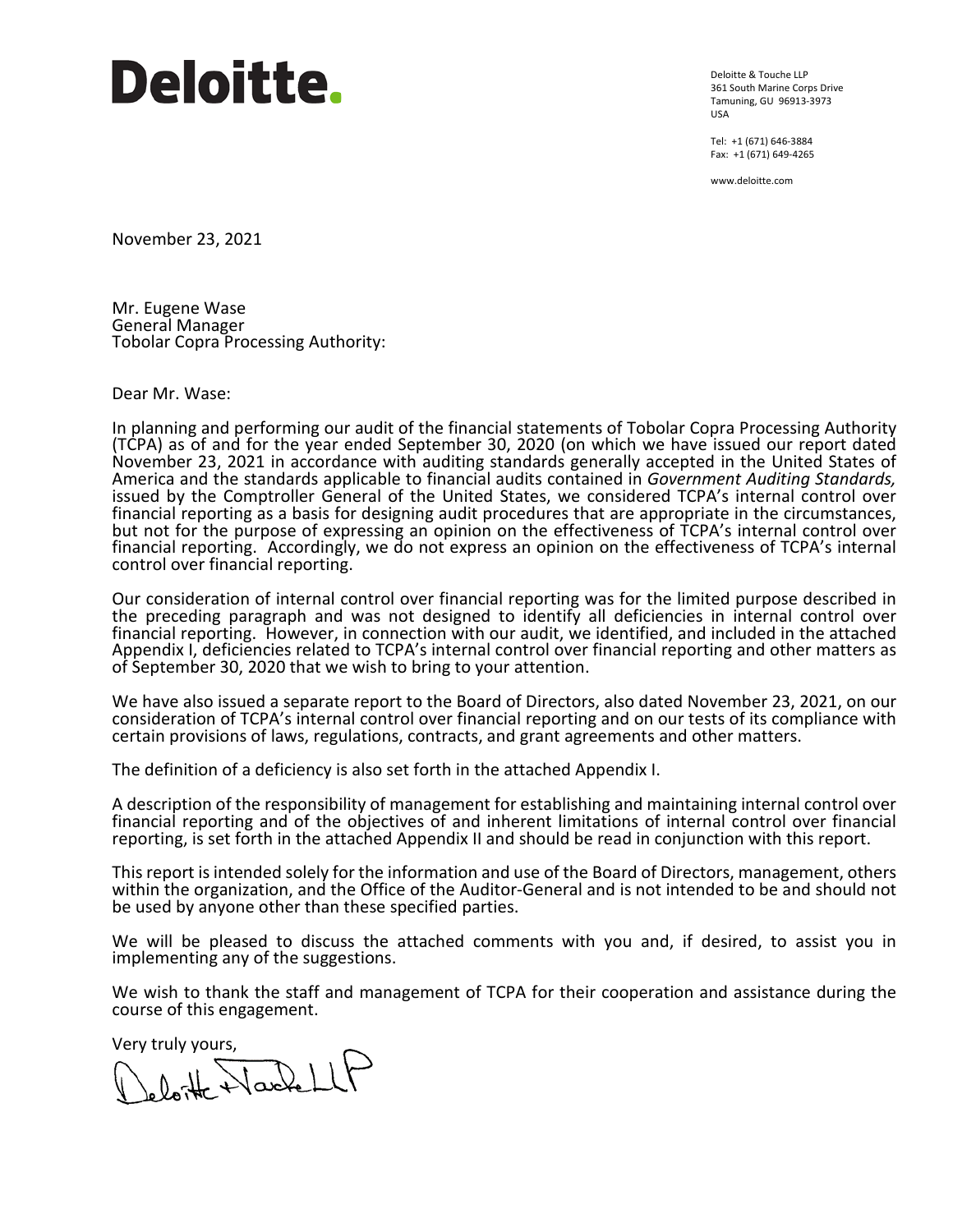# **Deloitte.**

Deloitte & Touche LLP 361 South Marine Corps Drive Tamuning, GU 96913-3973 USA

Tel: +1 (671) 646-3884 Fax: +1 (671) 649-4265

www.deloitte.com

November 23, 2021

Mr. Eugene Wase General Manager Tobolar Copra Processing Authority:

Dear Mr. Wase:

In planning and performing our audit of the financial statements of Tobolar Copra Processing Authority (TCPA) as of and for the year ended September 30, 2020 (on which we have issued our report dated November 23, 2021 in accordance with auditing standards generally accepted in the United States of America and the standards applicable to financial audits contained in *Government Auditing Standards,*  issued by the Comptroller General of the United States, we considered TCPA's internal control over financial reporting as a basis for designing audit procedures that are appropriate in the circumstances, but not for the purpose of expressing an opinion on the effectiveness of TCPA's internal control over financial reporting. Accordingly, we do not express an opinion on the effectiveness of TCPA's internal control over financial reporting.

Our consideration of internal control over financial reporting was for the limited purpose described in the preceding paragraph and was not designed to identify all deficiencies in internal control over financial reporting. However, in connection with our audit, we identified, and included in the attached Appendix I, deficiencies related to TCPA's internal control over financial reporting and other matters as of September 30, 2020 that we wish to bring to your attention.

We have also issued a separate report to the Board of Directors, also dated November 23, 2021, on our consideration of TCPA's internal control over financial reporting and on our tests of its compliance with certain provisions of laws, regulations, contracts, and grant agreements and other matters.

The definition of a deficiency is also set forth in the attached Appendix I.

A description of the responsibility of management for establishing and maintaining internal control over financial reporting and of the objectives of and inherent limitations of internal control over financial reporting, is set forth in the attached Appendix II and should be read in conjunction with this report.

This report is intended solely for the information and use of the Board of Directors, management, others within the organization, and the Office of the Auditor-General and is not intended to be and should not be used by anyone other than these specified parties.

We will be pleased to discuss the attached comments with you and, if desired, to assist you in implementing any of the suggestions.

We wish to thank the staff and management of TCPA for their cooperation and assistance during the course of this engagement.

Very truly yours,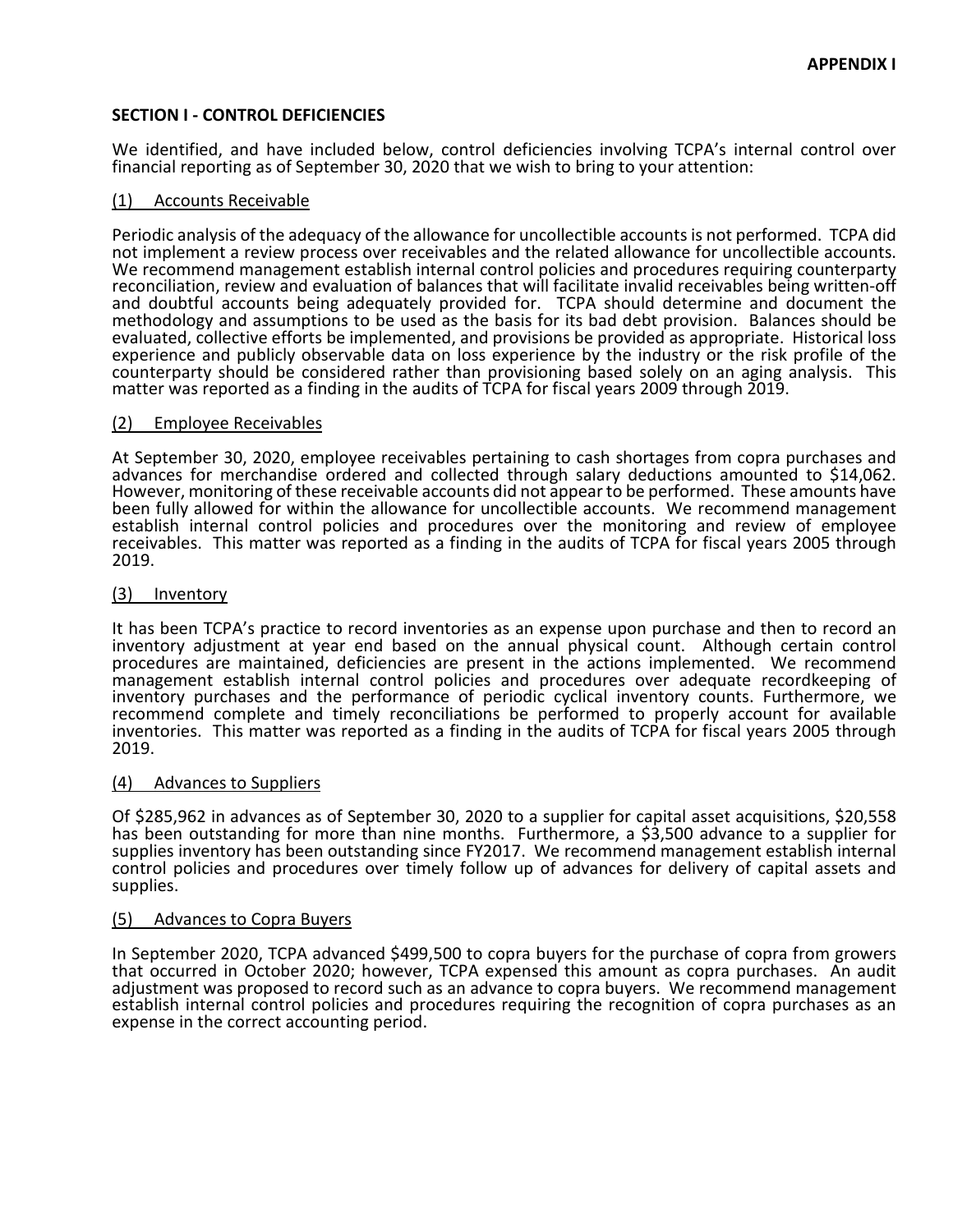# **SECTION I - CONTROL DEFICIENCIES**

We identified, and have included below, control deficiencies involving TCPA's internal control over financial reporting as of September 30, 2020 that we wish to bring to your attention:

## (1) Accounts Receivable

Periodic analysis of the adequacy of the allowance for uncollectible accountsis not performed. TCPA did not implement a review process over receivables and the related allowance for uncollectible accounts. We recommend management establish internal control policies and procedures requiring counterparty reconciliation, review and evaluation of balances that will facilitate invalid receivables being written-off and doubtful accounts being adequately provided for. TCPA should determine and document the methodology and assumptions to be used as the basis for its bad debt provision. Balances should be evaluated, collective efforts be implemented, and provisions be provided as appropriate. Historical loss experience and publicly observable data on loss experience by the industry or the risk profile of the counterparty should be considered rather than provisioning based solely on an aging analysis. This matter was reported as a finding in the audits of TCPA for fiscal years 2009 through 2019.

## (2) Employee Receivables

At September 30, 2020, employee receivables pertaining to cash shortages from copra purchases and advances for merchandise ordered and collected through salary deductions amounted to \$14,062. However, monitoring of these receivable accounts did not appear to be performed. These amounts have been fully allowed for within the allowance for uncollectible accounts. We recommend management establish internal control policies and procedures over the monitoring and review of employee receivables. This matter was reported as a finding in the audits of TCPA for fiscal years 2005 through 2019.

## (3) Inventory

It has been TCPA's practice to record inventories as an expense upon purchase and then to record an inventory adjustment at year end based on the annual physical count. Although certain control procedures are maintained, deficiencies are present in the actions implemented. We recommend management establish internal control policies and procedures over adequate recordkeeping of inventory purchases and the performance of periodic cyclical inventory counts. Furthermore, we recommend complete and timely reconciliations be performed to properly account for available inventories. This matter was reported as a finding in the audits of TCPA for fiscal years 2005 through 2019.

#### (4) Advances to Suppliers

Of \$285,962 in advances as of September 30, 2020 to a supplier for capital asset acquisitions, \$20,558 has been outstanding for more than nine months. Furthermore, a \$3,500 advance to a supplier for supplies inventory has been outstanding since FY2017. We recommend management establish internal control policies and procedures over timely follow up of advances for delivery of capital assets and supplies.

## (5) Advances to Copra Buyers

In September 2020, TCPA advanced \$499,500 to copra buyers for the purchase of copra from growers that occurred in October 2020; however, TCPA expensed this amount as copra purchases. An audit adjustment was proposed to record such as an advance to copra buyers. We recommend management establish internal control policies and procedures requiring the recognition of copra purchases as an expense in the correct accounting period.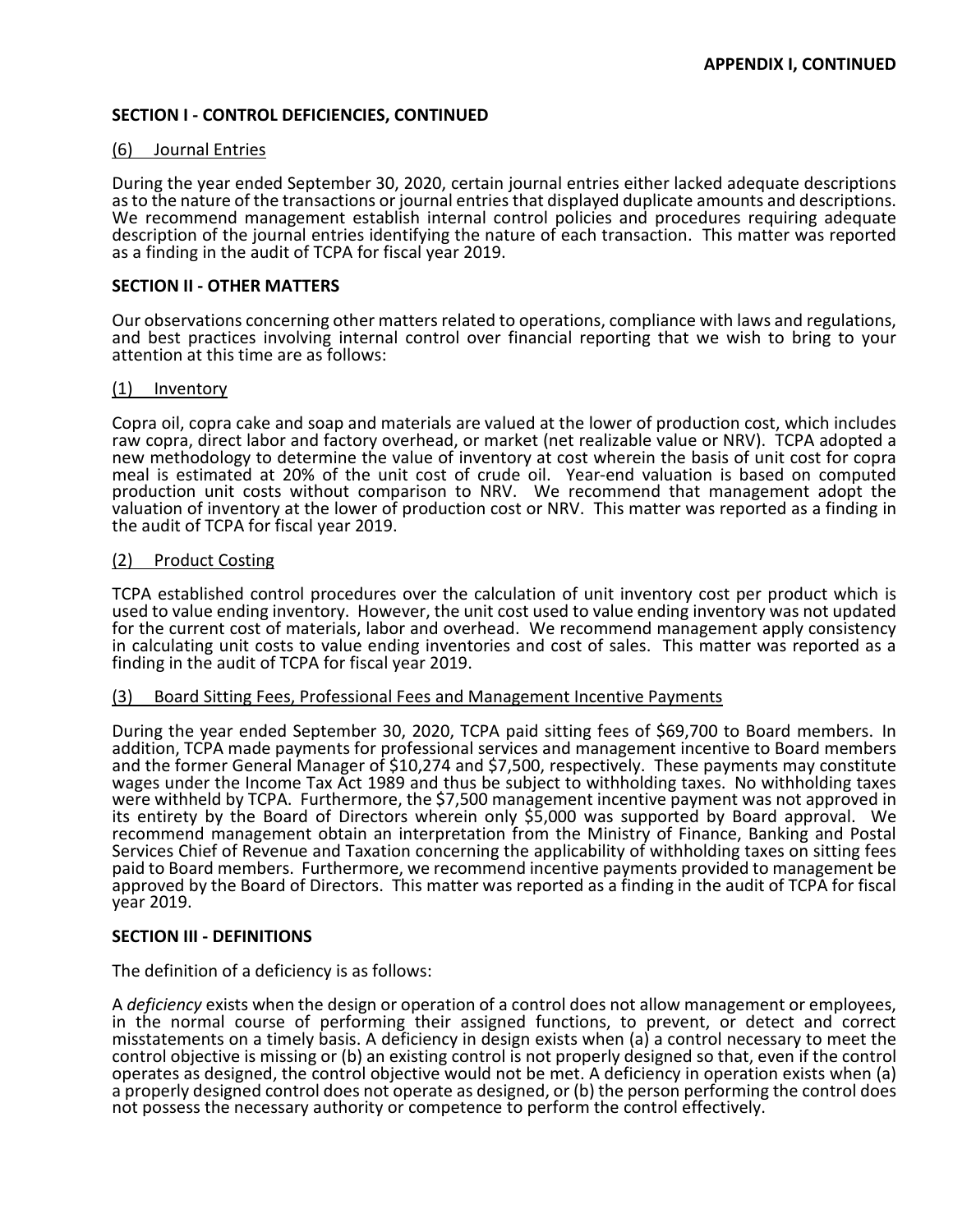# **SECTION I - CONTROL DEFICIENCIES, CONTINUED**

## (6) Journal Entries

During the year ended September 30, 2020, certain journal entries either lacked adequate descriptions as to the nature of the transactions or journal entries that displayed duplicate amounts and descriptions. We recommend management establish internal control policies and procedures requiring adequate description of the journal entries identifying the nature of each transaction. This matter was reported as a finding in the audit of TCPA for fiscal year 2019.

#### **SECTION II - OTHER MATTERS**

Our observations concerning other matters related to operations, compliance with laws and regulations, and best practices involving internal control over financial reporting that we wish to bring to your attention at this time are as follows:

## (1) Inventory

Copra oil, copra cake and soap and materials are valued at the lower of production cost, which includes raw copra, direct labor and factory overhead, or market (net realizable value or NRV). TCPA adopted a new methodology to determine the value of inventory at cost wherein the basis of unit cost for copra meal is estimated at 20% of the unit cost of crude oil. Year-end valuation is based on computed production unit costs without comparison to NRV. We recommend that management adopt the valuation of inventory at the lower of production cost or NRV. This matter was reported as a finding in the audit of TCPA for fiscal year 2019.

## (2) Product Costing

TCPA established control procedures over the calculation of unit inventory cost per product which is used to value ending inventory. However, the unit cost used to value ending inventory was not updated for the current cost of materials, labor and overhead. We recommend management apply consistency in calculating unit costs to value ending inventories and cost of sales. This matter was reported as a finding in the audit of TCPA for fiscal year 2019.

#### (3) Board Sitting Fees, Professional Fees and Management Incentive Payments

During the year ended September 30, 2020, TCPA paid sitting fees of \$69,700 to Board members. In addition, TCPA made payments for professional services and management incentive to Board members and the former General Manager of \$10,274 and \$7,500, respectively. These payments may constitute wages under the Income Tax Act 1989 and thus be subject to withholding taxes. No withholding taxes were withholding taxes were withholding taxes its entirety by the Board of Directors wherein only  $$5,000$  was supported by Board approval. We recommend management obtain an interpretation from the Ministry of Finance, Banking and Postal Services Chief of Revenue and Taxation concerning the applicability of withholding taxes on sitting fees paid to Board members. Furthermore, we recommend incentive payments provided to management be approved by the Board of Directors. This matter was reported as a finding in the audit of TCPA for fiscal year 2019.

## **SECTION III - DEFINITIONS**

The definition of a deficiency is as follows:

A *deficiency* exists when the design or operation of a control does not allow management or employees, in the normal course of performing their assigned functions, to prevent, or detect and correct misstatements on a timely basis. A deficiency in design exists when (a) a control necessary to meet the control objective is missing or (b) an existing control is not properly designed so that, even if the control operates as designed, the control objective would not be met. A deficiency in operation exists when (a) a properly designed control does not operate as designed, or (b) the person performing the control does not possess the necessary authority or competence to perform the control effectively.